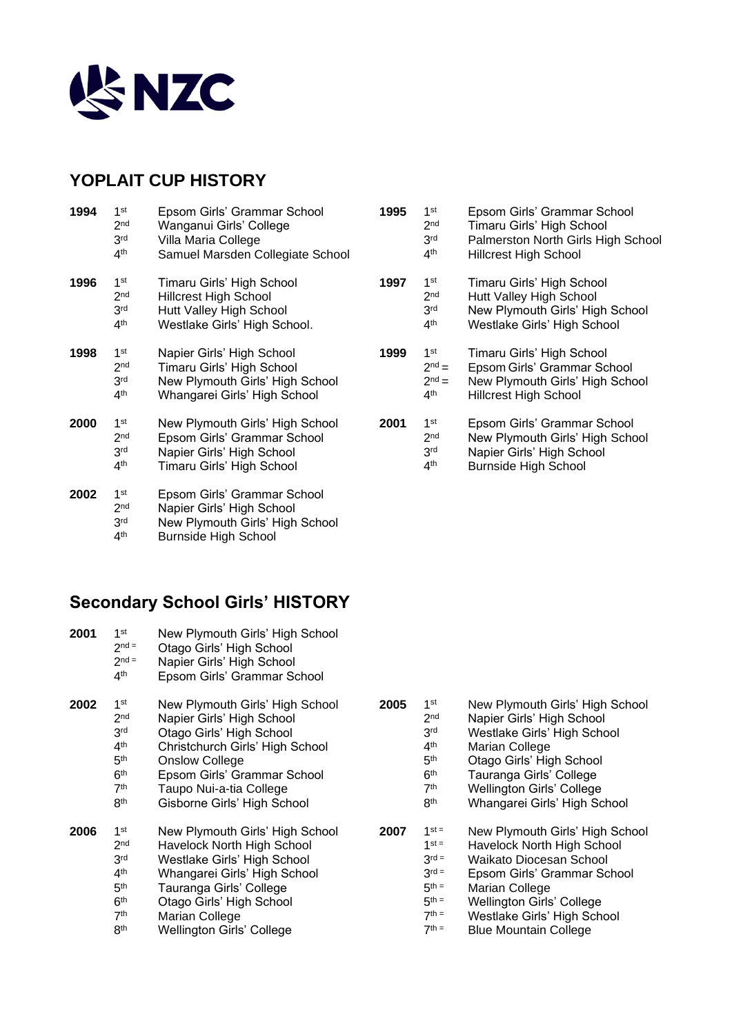

### **YOPLAIT CUP HISTORY**

| 1994 | 1 <sup>st</sup><br>2 <sub>nd</sub><br>3 <sup>rd</sup><br>4 <sup>th</sup> | Epsom Girls' Grammar School<br>Wanganui Girls' College<br>Villa Maria College<br>Samuel Marsden Collegiate School          | 1995 | 1 <sup>st</sup><br>2 <sub>nd</sub><br>3 <sup>rd</sup><br>4 <sup>th</sup> | Epsom Girls' Grammar School<br>Timaru Girls' High School<br>Palmerston North Girls High S<br><b>Hillcrest High School</b> |
|------|--------------------------------------------------------------------------|----------------------------------------------------------------------------------------------------------------------------|------|--------------------------------------------------------------------------|---------------------------------------------------------------------------------------------------------------------------|
| 1996 | 1 <sup>st</sup><br>2 <sub>nd</sub><br>3 <sup>rd</sup><br>4 <sup>th</sup> | Timaru Girls' High School<br><b>Hillcrest High School</b><br>Hutt Valley High School<br>Westlake Girls' High School.       | 1997 | 1 <sup>st</sup><br>2 <sub>nd</sub><br>3 <sup>rd</sup><br>4 <sup>th</sup> | Timaru Girls' High School<br>Hutt Valley High School<br>New Plymouth Girls' High Sch<br>Westlake Girls' High School       |
| 1998 | 1 <sup>st</sup><br>2 <sub>nd</sub><br>3 <sup>rd</sup><br>4 <sup>th</sup> | Napier Girls' High School<br>Timaru Girls' High School<br>New Plymouth Girls' High School<br>Whangarei Girls' High School  | 1999 | 1 <sup>st</sup><br>$2nd =$<br>$2nd =$<br>4 <sup>th</sup>                 | Timaru Girls' High School<br>Epsom Girls' Grammar School<br>New Plymouth Girls' High Sch<br><b>Hillcrest High School</b>  |
| 2000 | 1 <sup>st</sup><br>2 <sub>nd</sub><br>3 <sup>rd</sup><br>4 <sup>th</sup> | New Plymouth Girls' High School<br>Epsom Girls' Grammar School<br>Napier Girls' High School<br>Timaru Girls' High School   | 2001 | 1 <sup>st</sup><br>2 <sub>nd</sub><br>3 <sup>rd</sup><br>4 <sup>th</sup> | Epsom Girls' Grammar School<br>New Plymouth Girls' High Sch<br>Napier Girls' High School<br><b>Burnside High School</b>   |
| 2002 | 1 <sup>st</sup><br>2 <sub>nd</sub><br>3 <sup>rd</sup><br>4 <sup>th</sup> | Epsom Girls' Grammar School<br>Napier Girls' High School<br>New Plymouth Girls' High School<br><b>Burnside High School</b> |      |                                                                          |                                                                                                                           |

|      | 2 <sub>nd</sub><br>3 <sub>rd</sub><br>4 <sup>th</sup>        | Timaru Girls' High School<br>Palmerston North Girls High School<br><b>Hillcrest High School</b>                             |
|------|--------------------------------------------------------------|-----------------------------------------------------------------------------------------------------------------------------|
| 1997 | 1st<br>2 <sub>nd</sub><br>3 <sup>rd</sup><br>4 <sup>th</sup> | Timaru Girls' High School<br>Hutt Valley High School<br>New Plymouth Girls' High School<br>Westlake Girls' High School      |
| 1999 | 1st<br>$2nd$ =<br>$2nd$ =<br>4 <sup>th</sup>                 | Timaru Girls' High School<br>Epsom Girls' Grammar School<br>New Plymouth Girls' High School<br><b>Hillcrest High School</b> |
| 2001 | 1st<br>2 <sub>nd</sub><br>3rd<br>4 <sup>th</sup>             | Epsom Girls' Grammar School<br>New Plymouth Girls' High School<br>Napier Girls' High School<br><b>Burnside High School</b>  |

# **Secondary School Girls' HISTORY**

| 2001 | 1 <sup>st</sup><br>$2nd =$<br>$2nd =$<br>4 <sup>th</sup>                                                                                             | New Plymouth Girls' High School<br>Otago Girls' High School<br>Napier Girls' High School<br>Epsom Girls' Grammar School                                                                                                                       |      |                                                                                                                                          |                                                                         |
|------|------------------------------------------------------------------------------------------------------------------------------------------------------|-----------------------------------------------------------------------------------------------------------------------------------------------------------------------------------------------------------------------------------------------|------|------------------------------------------------------------------------------------------------------------------------------------------|-------------------------------------------------------------------------|
| 2002 | 1 <sup>st</sup><br>2 <sub>nd</sub><br>3 <sup>rd</sup><br>4 <sup>th</sup><br>5 <sup>th</sup><br>6 <sup>th</sup><br>7 <sup>th</sup><br>8 <sup>th</sup> | New Plymouth Girls' High School<br>Napier Girls' High School<br>Otago Girls' High School<br>Christchurch Girls' High School<br><b>Onslow College</b><br>Epsom Girls' Grammar School<br>Taupo Nui-a-tia College<br>Gisborne Girls' High School | 2005 | 1st<br>2 <sub>nd</sub><br>3 <sup>rd</sup><br>4 <sup>th</sup><br>5 <sup>th</sup><br>6 <sup>th</sup><br>7 <sup>th</sup><br>8 <sup>th</sup> | New F<br>Napie<br>Westla<br>Maria<br>Otago<br>Taura<br>Wellin<br>Whan   |
| 2006 | 1 <sup>st</sup><br>2 <sub>nd</sub><br>3rd<br>4 <sup>th</sup><br>5 <sup>th</sup><br>6 <sup>th</sup><br>7 <sup>th</sup><br>8 <sup>th</sup>             | New Plymouth Girls' High School<br>Havelock North High School<br>Westlake Girls' High School<br>Whangarei Girls' High School<br>Tauranga Girls' College<br>Otago Girls' High School<br>Marian College<br>Wellington Girls' College            | 2007 | $1$ st =<br>$1$ st =<br>$3rd =$<br>$3rd =$<br>$5^{th}$<br>$5^{th}$ =<br>$7th =$<br>$7th =$                                               | New F<br>Havel<br>Waika<br>Epsor<br>Maria<br>Wellin<br>Westla<br>Blue N |

| 2005 | 1 <sub>st</sub> | New Plymouth Girls' High School                              |
|------|-----------------|--------------------------------------------------------------|
|      | 2 <sub>nd</sub> | Napier Girls' High School                                    |
|      | 3rd             | Westlake Girls' High School                                  |
|      | 4 <sup>th</sup> | Marian College                                               |
|      | 5 <sup>th</sup> | Otago Girls' High School                                     |
|      | 6 <sup>th</sup> | Tauranga Girls' College                                      |
|      | 7 <sup>th</sup> | Wellington Girls' College                                    |
|      | <b>Rth</b>      | Whangarei Girls' High School                                 |
|      |                 |                                                              |
| 2007 | $1$ st =        |                                                              |
|      | $1$ st =        | New Plymouth Girls' High School                              |
|      | $3rd =$         | <b>Havelock North High School</b><br>Waikato Diocesan School |
|      | $3rd =$         | Epsom Girls' Grammar School                                  |
|      | $5th =$         | Marian College                                               |
|      | $5th =$         | Wellington Girls' College                                    |
|      | $7th =$         | Westlake Girls' High School                                  |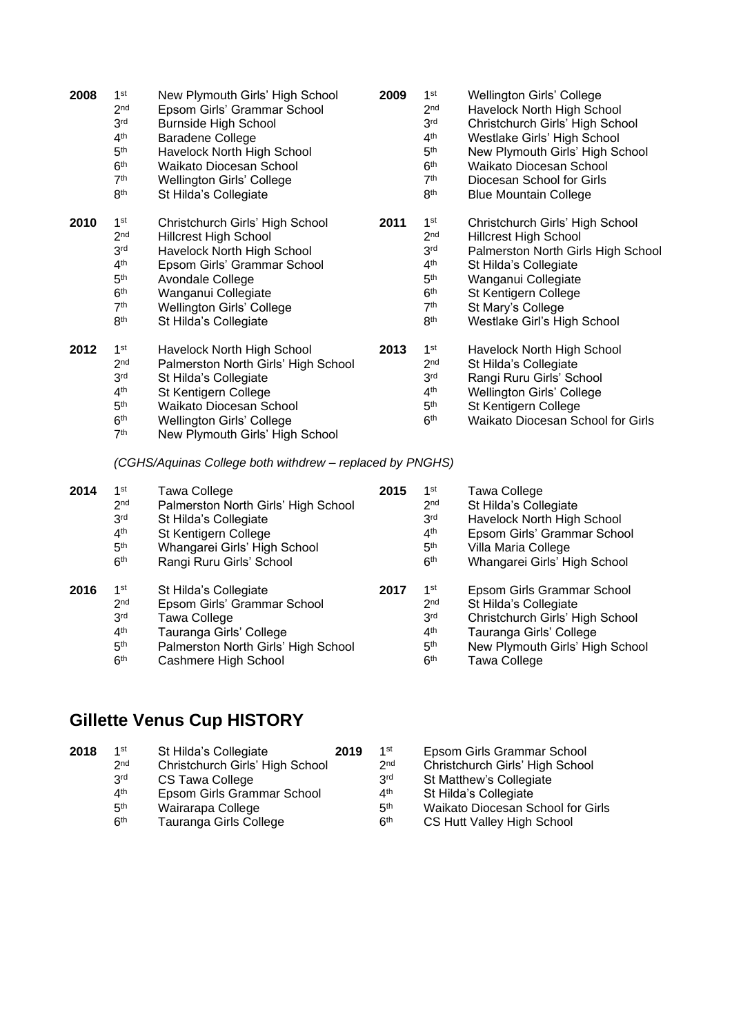| 2008 | 1 <sup>st</sup><br>2 <sub>nd</sub><br>3 <sup>rd</sup><br>4 <sup>th</sup><br>5 <sup>th</sup><br>6 <sup>th</sup><br>7 <sup>th</sup><br>8 <sup>th</sup> | New Plymouth Girls' High School<br>Epsom Girls' Grammar School<br><b>Burnside High School</b><br>Baradene College<br>Havelock North High School<br>Waikato Diocesan School<br>Wellington Girls' College<br>St Hilda's Collegiate | 2009 | 1 <sup>st</sup><br>2 <sub>nd</sub><br>3 <sup>rd</sup><br>4 <sup>th</sup><br>5 <sup>th</sup><br>6 <sup>th</sup><br>7 <sup>th</sup><br>8 <sup>th</sup> | Wellington Girls' College<br>Havelock North High School<br>Christchurch Girls' High School<br>Westlake Girls' High School<br>New Plymouth Girls' High School<br><b>Waikato Diocesan School</b><br>Diocesan School for Girls<br><b>Blue Mountain College</b> |
|------|------------------------------------------------------------------------------------------------------------------------------------------------------|----------------------------------------------------------------------------------------------------------------------------------------------------------------------------------------------------------------------------------|------|------------------------------------------------------------------------------------------------------------------------------------------------------|-------------------------------------------------------------------------------------------------------------------------------------------------------------------------------------------------------------------------------------------------------------|
| 2010 | 1 <sup>st</sup><br>2 <sub>nd</sub><br>3 <sup>rd</sup><br>4 <sup>th</sup><br>5 <sup>th</sup><br>6 <sup>th</sup><br>7 <sup>th</sup><br>8 <sup>th</sup> | Christchurch Girls' High School<br><b>Hillcrest High School</b><br>Havelock North High School<br>Epsom Girls' Grammar School<br>Avondale College<br>Wanganui Collegiate<br>Wellington Girls' College<br>St Hilda's Collegiate    | 2011 | 1 <sup>st</sup><br>2 <sub>nd</sub><br>3 <sup>rd</sup><br>4 <sup>th</sup><br>5 <sup>th</sup><br>6 <sup>th</sup><br>7 <sup>th</sup><br>8 <sup>th</sup> | Christchurch Girls' High School<br><b>Hillcrest High School</b><br>Palmerston North Girls High School<br>St Hilda's Collegiate<br>Wanganui Collegiate<br>St Kentigern College<br>St Mary's College<br>Westlake Girl's High School                           |
| 2012 | 1 <sup>st</sup><br>2 <sub>nd</sub><br>3 <sup>rd</sup><br>4 <sup>th</sup><br>5 <sup>th</sup><br>6 <sup>th</sup><br>7 <sup>th</sup>                    | Havelock North High School<br>Palmerston North Girls' High School<br>St Hilda's Collegiate<br>St Kentigern College<br>Waikato Diocesan School<br>Wellington Girls' College<br>New Plymouth Girls' High School                    | 2013 | 1 <sup>st</sup><br>2 <sub>nd</sub><br>3 <sup>rd</sup><br>4 <sup>th</sup><br>5 <sup>th</sup><br>6 <sup>th</sup>                                       | Havelock North High School<br>St Hilda's Collegiate<br>Rangi Ruru Girls' School<br>Wellington Girls' College<br>St Kentigern College<br>Waikato Diocesan School for Girls                                                                                   |

*(CGHS/Aquinas College both withdrew – replaced by PNGHS)*

| 2014 | 1 <sup>st</sup><br>2 <sub>nd</sub><br>3 <sup>rd</sup><br>4 <sup>th</sup><br>5 <sup>th</sup><br>6 <sup>th</sup> | Tawa College<br>Palmerston North Girls' High School<br>St Hilda's Collegiate<br>St Kentigern College<br>Whangarei Girls' High School<br>Rangi Ruru Girls' School | 2015 | 1 <sup>st</sup><br>2 <sub>nd</sub><br>3 <sup>rd</sup><br>4 <sup>th</sup><br>5 <sup>th</sup><br>6 <sup>th</sup> | Tawa College<br>St Hilda's Collegiate<br>Havelock North High School<br>Epsom Girls' Grammar School<br>Villa Maria College<br>Whangarei Girls' High School                   |
|------|----------------------------------------------------------------------------------------------------------------|------------------------------------------------------------------------------------------------------------------------------------------------------------------|------|----------------------------------------------------------------------------------------------------------------|-----------------------------------------------------------------------------------------------------------------------------------------------------------------------------|
| 2016 | 1 <sup>st</sup><br>2 <sub>nd</sub><br>3 <sup>rd</sup><br>4 <sup>th</sup><br>5 <sup>th</sup><br>6 <sup>th</sup> | St Hilda's Collegiate<br>Epsom Girls' Grammar School<br>Tawa College<br>Tauranga Girls' College<br>Palmerston North Girls' High School<br>Cashmere High School   | 2017 | 1 <sup>st</sup><br>2 <sub>nd</sub><br>3 <sup>rd</sup><br>4 <sup>th</sup><br>5 <sup>th</sup><br>6 <sup>th</sup> | Epsom Girls Grammar School<br>St Hilda's Collegiate<br>Christchurch Girls' High School<br>Tauranga Girls' College<br>New Plymouth Girls' High School<br><b>Tawa College</b> |

# **Gillette Venus Cup HISTORY**

| 2018 | 1st             | St Hilda's Collegiate           | 2019 | 1st             | Epsom Girls Grammar School        |
|------|-----------------|---------------------------------|------|-----------------|-----------------------------------|
|      | 2 <sub>nd</sub> | Christchurch Girls' High School |      | 2 <sub>nd</sub> | Christchurch Girls' High School   |
|      | 3 <sup>rd</sup> | CS Tawa College                 |      | 3 <sup>rd</sup> | St Matthew's Collegiate           |
|      | $4^{\text{th}}$ | Epsom Girls Grammar School      |      | 4 <sup>th</sup> | St Hilda's Collegiate             |
|      | 5 <sup>th</sup> | Wairarapa College               |      | 5 <sup>th</sup> | Waikato Diocesan School for Girls |
|      | 6 <sup>th</sup> | Tauranga Girls College          |      | 6 <sup>th</sup> | CS Hutt Valley High School        |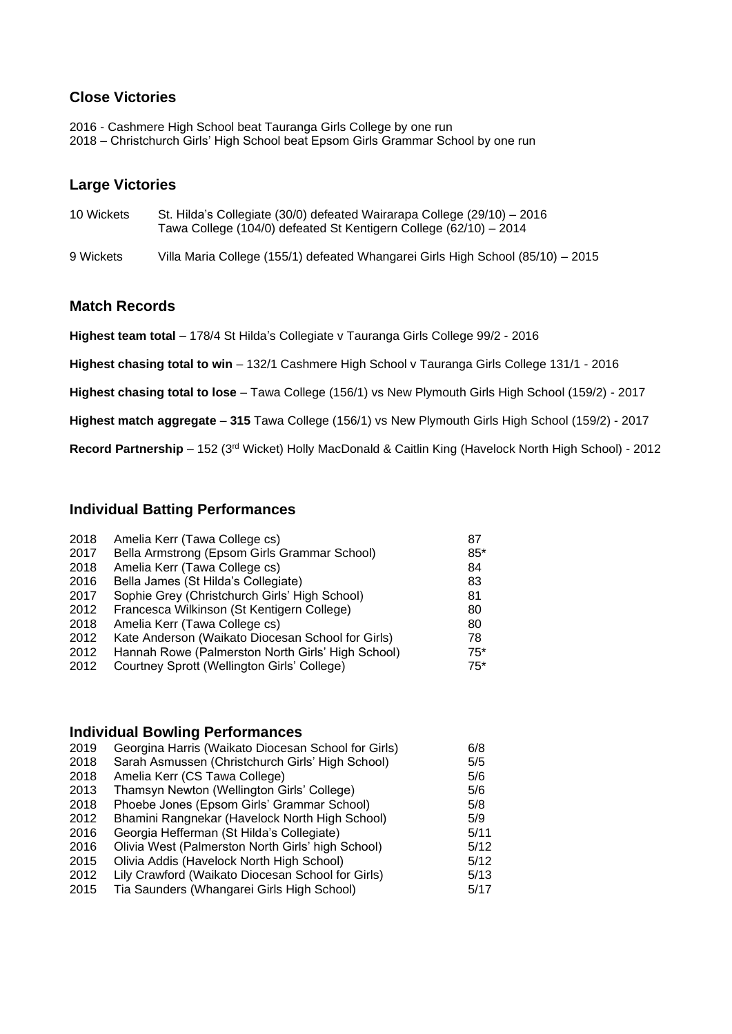#### **Close Victories**

2016 - Cashmere High School beat Tauranga Girls College by one run 2018 – Christchurch Girls' High School beat Epsom Girls Grammar School by one run

#### **Large Victories**

| 10 Wickets | St. Hilda's Collegiate (30/0) defeated Wairarapa College (29/10) - 2016<br>Tawa College (104/0) defeated St Kentigern College (62/10) - 2014 |
|------------|----------------------------------------------------------------------------------------------------------------------------------------------|
| 9 Wickets  | Villa Maria College (155/1) defeated Whangarei Girls High School (85/10) – 2015                                                              |

#### **Match Records**

**Highest team total** – 178/4 St Hilda's Collegiate v Tauranga Girls College 99/2 - 2016

**Highest chasing total to win** – 132/1 Cashmere High School v Tauranga Girls College 131/1 - 2016

**Highest chasing total to lose** – Tawa College (156/1) vs New Plymouth Girls High School (159/2) - 2017

**Highest match aggregate** – **315** Tawa College (156/1) vs New Plymouth Girls High School (159/2) - 2017

**Record Partnership** – 152 (3rd Wicket) Holly MacDonald & Caitlin King (Havelock North High School) - 2012

#### **Individual Batting Performances**

| 2018 | Amelia Kerr (Tawa College cs)                     | 87    |
|------|---------------------------------------------------|-------|
| 2017 | Bella Armstrong (Epsom Girls Grammar School)      | $85*$ |
| 2018 | Amelia Kerr (Tawa College cs)                     | 84    |
| 2016 | Bella James (St Hilda's Collegiate)               | 83    |
| 2017 | Sophie Grey (Christchurch Girls' High School)     | 81    |
| 2012 | Francesca Wilkinson (St Kentigern College)        | 80    |
| 2018 | Amelia Kerr (Tawa College cs)                     | 80    |
| 2012 | Kate Anderson (Waikato Diocesan School for Girls) | 78    |
| 2012 | Hannah Rowe (Palmerston North Girls' High School) | $75*$ |
| 2012 | Courtney Sprott (Wellington Girls' College)       | $75*$ |
|      |                                                   |       |

### **Individual Bowling Performances**

| 2019 | Georgina Harris (Waikato Diocesan School for Girls) | 6/8  |
|------|-----------------------------------------------------|------|
| 2018 | Sarah Asmussen (Christchurch Girls' High School)    | 5/5  |
| 2018 | Amelia Kerr (CS Tawa College)                       | 5/6  |
| 2013 | Thamsyn Newton (Wellington Girls' College)          | 5/6  |
| 2018 | Phoebe Jones (Epsom Girls' Grammar School)          | 5/8  |
| 2012 | Bhamini Rangnekar (Havelock North High School)      | 5/9  |
| 2016 | Georgia Hefferman (St Hilda's Collegiate)           | 5/11 |
| 2016 | Olivia West (Palmerston North Girls' high School)   | 5/12 |
| 2015 | Olivia Addis (Havelock North High School)           | 5/12 |
| 2012 | Lily Crawford (Waikato Diocesan School for Girls)   | 5/13 |
| 2015 | Tia Saunders (Whangarei Girls High School)          | 5/17 |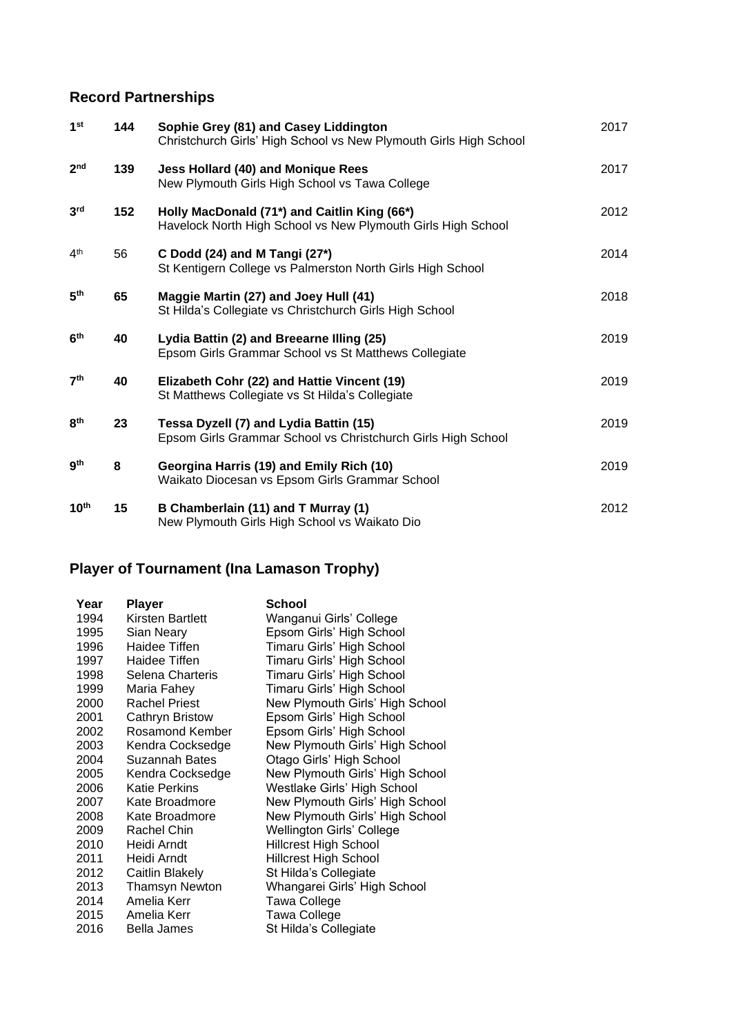## **Record Partnerships**

| 1 <sup>st</sup>  | 144 | Sophie Grey (81) and Casey Liddington<br>Christchurch Girls' High School vs New Plymouth Girls High School   | 2017 |
|------------------|-----|--------------------------------------------------------------------------------------------------------------|------|
| 2 <sub>nd</sub>  | 139 | <b>Jess Hollard (40) and Monique Rees</b><br>New Plymouth Girls High School vs Tawa College                  | 2017 |
| 3 <sup>rd</sup>  | 152 | Holly MacDonald (71*) and Caitlin King (66*)<br>Havelock North High School vs New Plymouth Girls High School | 2012 |
| 4 <sup>th</sup>  | 56  | C Dodd (24) and M Tangi (27*)<br>St Kentigern College vs Palmerston North Girls High School                  | 2014 |
| 5 <sup>th</sup>  | 65  | Maggie Martin (27) and Joey Hull (41)<br>St Hilda's Collegiate vs Christchurch Girls High School             | 2018 |
| 6 <sup>th</sup>  | 40  | Lydia Battin (2) and Breearne Illing (25)<br>Epsom Girls Grammar School vs St Matthews Collegiate            | 2019 |
| 7 <sup>th</sup>  | 40  | Elizabeth Cohr (22) and Hattie Vincent (19)<br>St Matthews Collegiate vs St Hilda's Collegiate               | 2019 |
| 8 <sup>th</sup>  | 23  | Tessa Dyzell (7) and Lydia Battin (15)<br>Epsom Girls Grammar School vs Christchurch Girls High School       | 2019 |
| gth              | 8   | Georgina Harris (19) and Emily Rich (10)<br>Waikato Diocesan vs Epsom Girls Grammar School                   | 2019 |
| $10^{\text{th}}$ | 15  | B Chamberlain (11) and T Murray (1)<br>New Plymouth Girls High School vs Waikato Dio                         | 2012 |

# **Player of Tournament (Ina Lamason Trophy)**

| Year | Player                 | School                          |
|------|------------------------|---------------------------------|
| 1994 | Kirsten Bartlett       | Wanganui Girls' College         |
| 1995 | Sian Neary             | Epsom Girls' High School        |
| 1996 | Haidee Tiffen          | Timaru Girls' High School       |
| 1997 | Haidee Tiffen          | Timaru Girls' High School       |
| 1998 | Selena Charteris       | Timaru Girls' High School       |
| 1999 | Maria Fahey            | Timaru Girls' High School       |
| 2000 | <b>Rachel Priest</b>   | New Plymouth Girls' High School |
| 2001 | <b>Cathryn Bristow</b> | Epsom Girls' High School        |
| 2002 | Rosamond Kember        | Epsom Girls' High School        |
| 2003 | Kendra Cocksedge       | New Plymouth Girls' High School |
| 2004 | Suzannah Bates         | Otago Girls' High School        |
| 2005 | Kendra Cocksedge       | New Plymouth Girls' High School |
| 2006 | Katie Perkins          | Westlake Girls' High School     |
| 2007 | Kate Broadmore         | New Plymouth Girls' High School |
| 2008 | Kate Broadmore         | New Plymouth Girls' High School |
| 2009 | Rachel Chin            | Wellington Girls' College       |
| 2010 | Heidi Arndt            | Hillcrest High School           |
| 2011 | Heidi Arndt            | <b>Hillcrest High School</b>    |
| 2012 | Caitlin Blakely        | St Hilda's Collegiate           |
| 2013 | <b>Thamsyn Newton</b>  | Whangarei Girls' High School    |
| 2014 | Amelia Kerr            | <b>Tawa College</b>             |
| 2015 | Amelia Kerr            | <b>Tawa College</b>             |
| 2016 | Bella James            | St Hilda's Collegiate           |